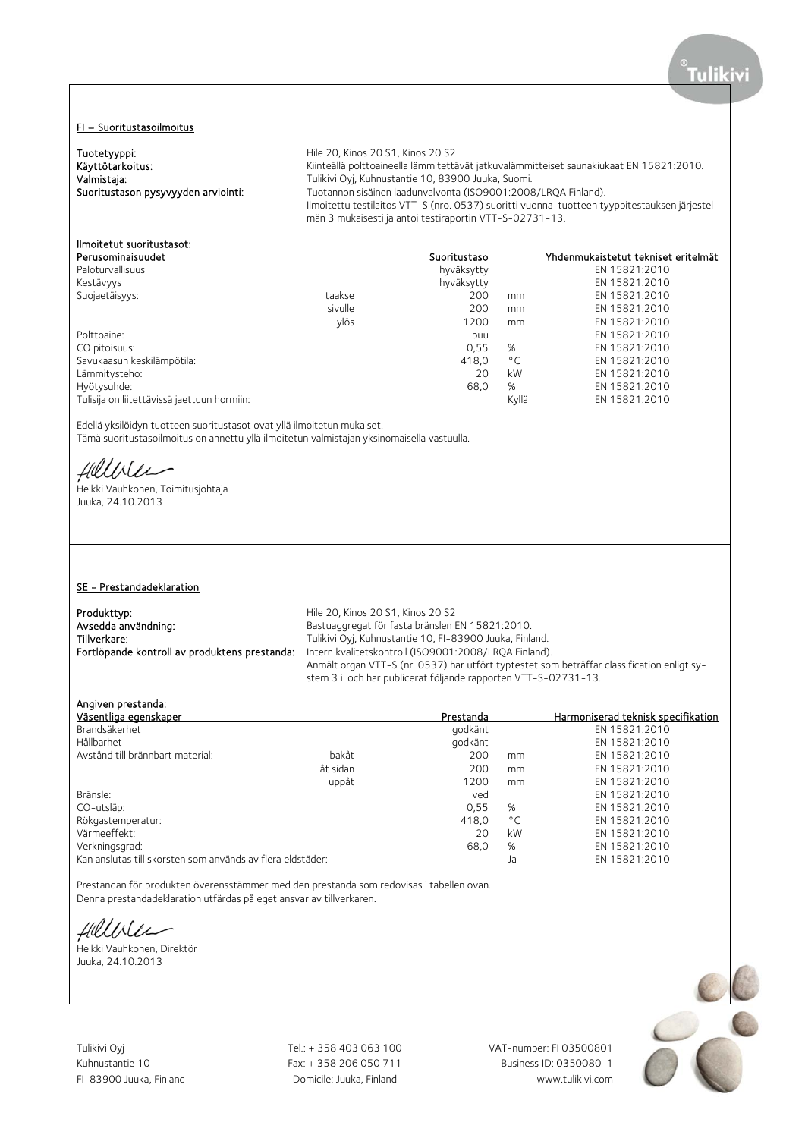# FI – Suoritustasoilmoitus

| Tuotetyyppi:<br>Käyttötarkoitus:<br>Valmistaja:<br>Suoritustason pysyvyyden arviointi: | Hile 20. Kinos 20 S1. Kinos 20 S2<br>Kiinteällä polttoaineella lämmitettävät jatkuvalämmitteiset saunakiukaat EN 15821:2010.<br>Tulikivi Oyj, Kuhnustantie 10, 83900 Juuka, Suomi.<br>Tuotannon sisäinen laadunvalvonta (ISO9001:2008/LROA Finland).<br>Ilmoitettu testilaitos VTT-S (nro. 0537) suoritti vuonna tuotteen tyyppitestauksen järjestel-<br>män 3 mukaisesti ja antoi testiraportin VTT-S-02731-13. |              |    |                                     |  |
|----------------------------------------------------------------------------------------|------------------------------------------------------------------------------------------------------------------------------------------------------------------------------------------------------------------------------------------------------------------------------------------------------------------------------------------------------------------------------------------------------------------|--------------|----|-------------------------------------|--|
| Ilmoitetut suoritustasot:<br>Perusominaisuudet                                         |                                                                                                                                                                                                                                                                                                                                                                                                                  | Suoritustaso |    | Yhdenmukaistetut tekniset eritelmät |  |
| Paloturvallisuus                                                                       |                                                                                                                                                                                                                                                                                                                                                                                                                  | hyväksytty   |    | EN 15821:2010                       |  |
| Kestävyys                                                                              |                                                                                                                                                                                                                                                                                                                                                                                                                  | hyväksytty   |    | EN 15821:2010                       |  |
| Suojaetäisyys:                                                                         | taakse                                                                                                                                                                                                                                                                                                                                                                                                           | 200          | mm | EN 15821:2010                       |  |
|                                                                                        | sivulle                                                                                                                                                                                                                                                                                                                                                                                                          | 200          | mm | EN 15821:2010                       |  |
|                                                                                        | ylös                                                                                                                                                                                                                                                                                                                                                                                                             | 1200         | mm | EN 15821:2010                       |  |
| Polttoaine:                                                                            |                                                                                                                                                                                                                                                                                                                                                                                                                  | puu          |    | EN 15821:2010                       |  |

Polttoaine: puu EN 15821:2010 Savukaasun keskilämpötila: 418,0 °C EN 15821:2010 Lämmitysteho: Hyötysuhde: 68,0 % EN 15821:2010 Tulisija on liitettävissä jaettuun hormiin:

Edellä yksilöidyn tuotteen suoritustasot ovat yllä ilmoitetun mukaiset.

Tämä suoritustasoilmoitus on annettu yllä ilmoitetun valmistajan yksinomaisella vastuulla.

Hillble

Heikki Vauhkonen, Toimitusjohtaja Juuka, 24.10.2013

# SE - Prestandadeklaration

# Produkttyp: Produkttyp: Hile 20, Kinos 20 S1, Kinos 20 S2

Avsedda användning:<br>
Bastuaggregat för fasta bränslen EN 15821:2010.<br>
Tillverkare: Tulikivi Ovi. Kuhnustantie 10. FI-83900 Juuka. Finla Tillverkare: Tulikivi Oyj, Kuhnustantie 10, FI-83900 Juuka, Finland.<br>
Fortlöpande kontroll av produktens prestanda: Intern kvalitetskontroll (ISO9001:2008/LRQA Finland) Intern kvalitetskontroll (ISO9001:2008/LRQA Finland). Anmält organ VTT-S (nr. 0537) har utfört typtestet som beträffar classification enligt system 3 i och har publicerat följande rapporten VTT-S-02731-13.

0,55 % EN 15821:2010<br>418,0 °C EN 15821:2010

Angiven prestanda:

| Väsentliga egenskaper                                      |          | Prestanda |              | Harmoniserad teknisk specifikation |
|------------------------------------------------------------|----------|-----------|--------------|------------------------------------|
| Brandsäkerhet                                              |          | godkänt   |              | EN 15821:2010                      |
| Hållbarhet                                                 |          | godkänt   |              | EN 15821:2010                      |
| Avstånd till brännbart material:                           | bakåt    | 200       | mm           | EN 15821:2010                      |
|                                                            | åt sidan | 200       | mm           | EN 15821:2010                      |
|                                                            | uppåt    | 1200      | mm           | EN 15821:2010                      |
| Bränsle:                                                   |          | ved       |              | EN 15821:2010                      |
| CO-utsläp:                                                 |          | 0.55      | %            | EN 15821:2010                      |
| Rökgastemperatur:                                          |          | 418.0     | $^{\circ}$ C | EN 15821:2010                      |
| Värmeeffekt:                                               |          | 20        | kW           | EN 15821:2010                      |
| Verkningsgrad:                                             |          | 68.0      | %            | EN 15821:2010                      |
| Kan anslutas till skorsten som används av flera eldstäder: |          |           | Ja           | EN 15821:2010                      |

Prestandan för produkten överensstämmer med den prestanda som redovisas i tabellen ovan. Denna prestandadeklaration utfärdas på eget ansvar av tillverkaren.

Hillbler

Heikki Vauhkonen, Direktör Juuka, 24.10.2013

Tulikivi Oyj Tel.: + 358 403 063 100 VAT-number: FI 03500801

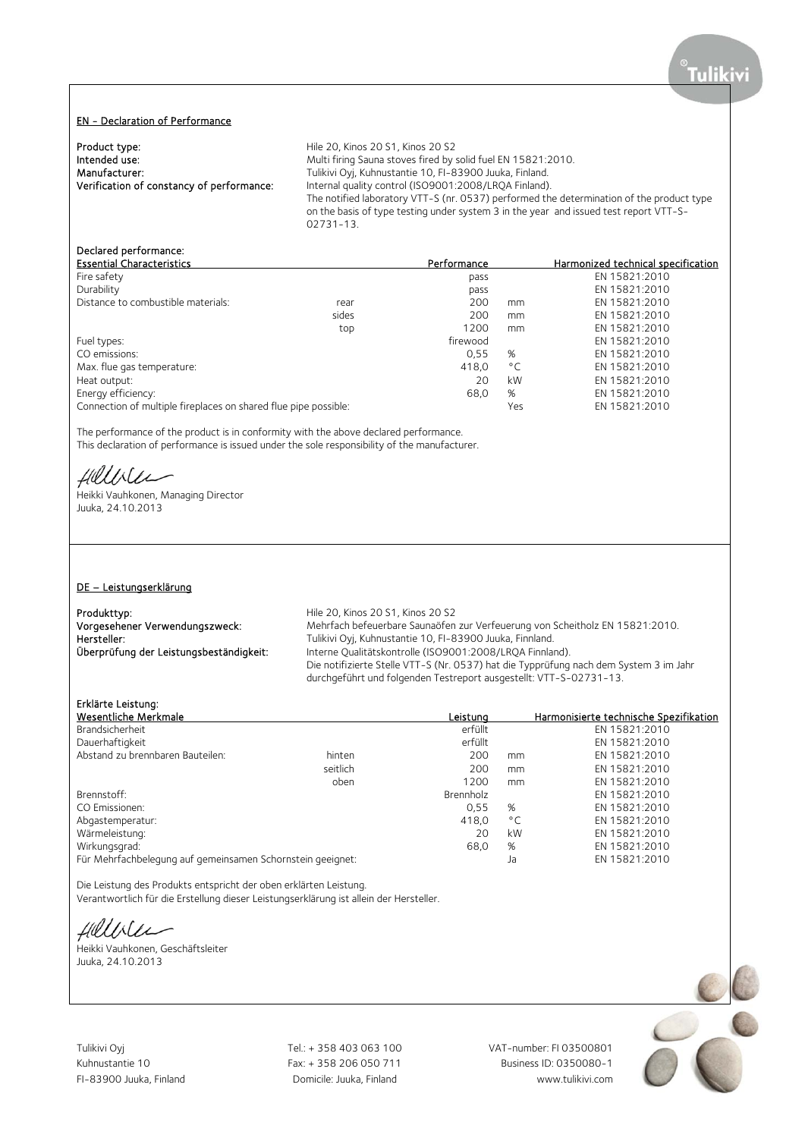#### EN - Declaration of Performance

Product type:<br>
Intended use:<br>
Multi firing Sauna stoves fired by:<br>
Multi firing Sauna stoves fired by: Manufacturer: Tulikivi Oyj, Kuhnustantie 10, FI-83900 Juuka, Finland.<br>
Verification of constancy of performance: Internal quality control (ISO9001:2008/LRQA Finland)

Intended use: The Multi firing Sauna stoves fired by solid fuel EN 15821:2010.<br>Manufacturer: Tulikivi Oyi, Kuhnustantie 10, FI-83900 Juuka, Finland. Internal quality control (ISO9001:2008/LRQA Finland). The notified laboratory VTT-S (nr. 0537) performed the determination of the product type on the basis of type testing under system 3 in the year and issued test report VTT-S-02731-13.

# Declared performance:

| <b>Essential Characteristics</b>                                |       | Performance |              | Harmonized technical specification |
|-----------------------------------------------------------------|-------|-------------|--------------|------------------------------------|
| Fire safety                                                     |       | pass        |              | EN 15821:2010                      |
| Durability                                                      |       | pass        |              | EN 15821:2010                      |
| Distance to combustible materials:                              | rear  | 200         | mm           | EN 15821:2010                      |
|                                                                 | sides | 200         | mm           | EN 15821:2010                      |
|                                                                 | top   | 1200        | mm           | EN 15821:2010                      |
| Fuel types:                                                     |       | firewood    |              | EN 15821:2010                      |
| CO emissions:                                                   |       | 0.55        | %            | EN 15821:2010                      |
| Max. flue gas temperature:                                      |       | 418.0       | $^{\circ}$ C | EN 15821:2010                      |
| Heat output:                                                    |       | 20          | kW           | EN 15821:2010                      |
| Energy efficiency:                                              |       | 68,0        | %            | EN 15821:2010                      |
| Connection of multiple fireplaces on shared flue pipe possible: |       |             | Yes          | EN 15821:2010                      |

The performance of the product is in conformity with the above declared performance. This declaration of performance is issued under the sole responsibility of the manufacturer.

Hillble

Heikki Vauhkonen, Managing Director Juuka, 24.10.2013

#### DE – Leistungserklärung

Produkttyp:<br>
Vorgesehener Verwendungszweck: Mehrfach befeuerbare Saunaöfen

Mehrfach befeuerbare Saunaöfen zur Verfeuerung von Scheitholz EN 15821:2010. Hersteller: Tulikivi Oyj, Kuhnustantie 10, FI-83900 Juuka, Finnland. Überprüfung der Leistungsbeständigkeit: Interne Qualitätskontrolle (ISO9001:2008/LRQA Finnland). Die notifizierte Stelle VTT-S (Nr. 0537) hat die Typprüfung nach dem System 3 im Jahr durchgeführt und folgenden Testreport ausgestellt: VTT-S-02731-13.

Erklärte Leistung:

| Wesentliche Merkmale                                       |          | Leistung  |              | Harmonisierte technische Spezifikation |
|------------------------------------------------------------|----------|-----------|--------------|----------------------------------------|
| Brandsicherheit                                            |          | erfüllt   |              | EN 15821:2010                          |
| Dauerhaftigkeit                                            |          | erfüllt   |              | EN 15821:2010                          |
| Abstand zu brennbaren Bauteilen:                           | hinten   | 200       | mm           | EN 15821:2010                          |
|                                                            | seitlich | 200       | mm           | EN 15821:2010                          |
|                                                            | oben     | 1200      | mm           | EN 15821:2010                          |
| Brennstoff:                                                |          | Brennholz |              | EN 15821:2010                          |
| CO Emissionen:                                             |          | 0.55      | %            | EN 15821:2010                          |
| Abgastemperatur:                                           |          | 418.0     | $^{\circ}$ C | EN 15821:2010                          |
| Wärmeleistung:                                             |          | 20        | kW           | EN 15821:2010                          |
| Wirkungsgrad:                                              |          | 68,0      | %            | EN 15821:2010                          |
| Für Mehrfachbelegung auf gemeinsamen Schornstein geeignet: |          |           | Ja           | EN 15821:2010                          |

Die Leistung des Produkts entspricht der oben erklärten Leistung. Verantwortlich für die Erstellung dieser Leistungserklärung ist allein der Hersteller.

Hillbler

Heikki Vauhkonen, Geschäftsleiter Juuka, 24.10.2013

Tulikivi Oyj Tel.: + 358 403 063 100 VAT-number: FI 03500801

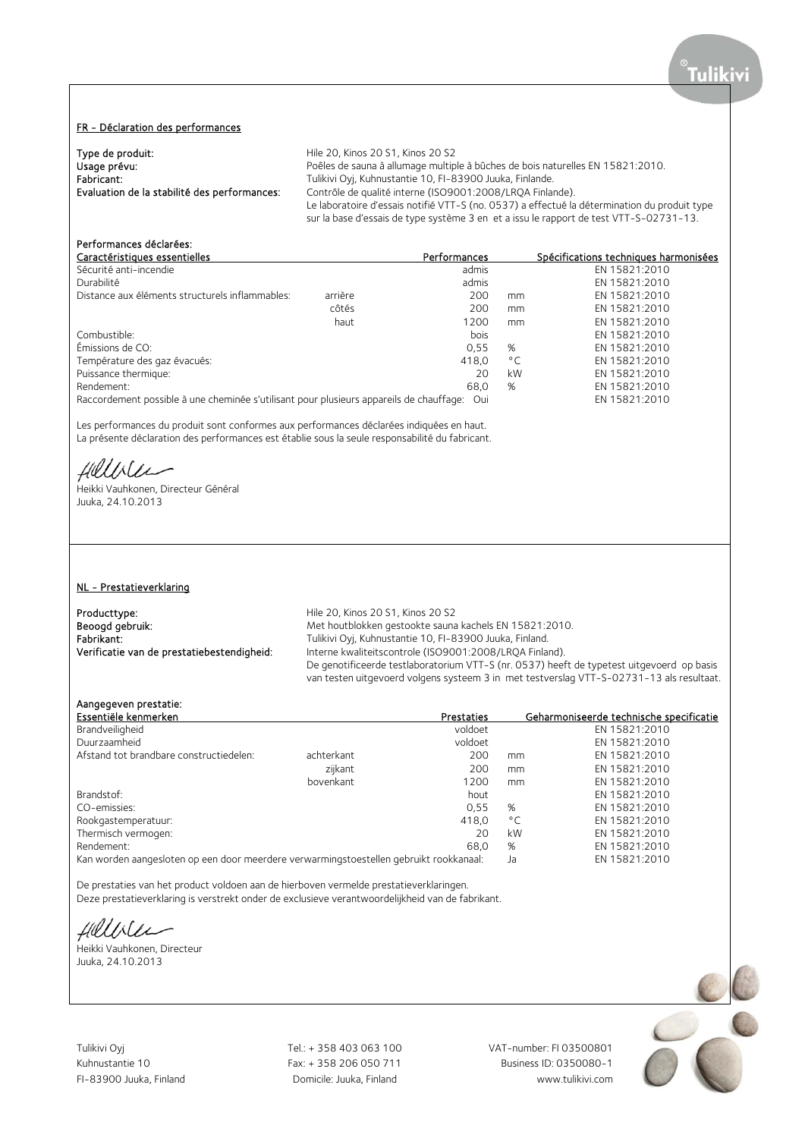# FR - Déclaration des performances

| Type de produit:                             | Hile 20, Kinos 20 S1, Kinos 20 S2                                                            |
|----------------------------------------------|----------------------------------------------------------------------------------------------|
| Usage prévu:                                 | Poêles de sauna à allumage multiple à bûches de bois naturelles EN 15821:2010.               |
| Fabricant:                                   | Tulikivi Oyj, Kuhnustantie 10, FI-83900 Juuka, Finlande.                                     |
| Evaluation de la stabilité des performances: | Contrôle de qualité interne (ISO9001:2008/LROA Finlande).                                    |
|                                              | Le laboratoire d'essais notifié VTT-S (no. 0537) a effectué la détermination du produit type |
|                                              | sur la base d'essais de type système 3 en et a issu le rapport de test VTT-S-02731-13.       |

# Performances déclarées:

| Caractéristiques essentielles                                                               | Performances |              | Spécifications techniques harmonisées |
|---------------------------------------------------------------------------------------------|--------------|--------------|---------------------------------------|
| Sécurité anti-incendie                                                                      | admis        |              | EN 15821:2010                         |
| Durabilité                                                                                  | admis        |              | EN 15821:2010                         |
| arrière<br>Distance aux éléments structurels inflammables:                                  | 200          | mm           | EN 15821:2010                         |
| côtés                                                                                       | 200          | mm           | EN 15821:2010                         |
| haut                                                                                        | 1200         | mm           | EN 15821:2010                         |
| Combustible:                                                                                | bois         |              | EN 15821:2010                         |
| Émissions de CO:                                                                            | 0.55         | %            | EN 15821:2010                         |
| Température des gaz évacués:                                                                | 418.0        | $^{\circ}$ C | EN 15821:2010                         |
| Puissance thermique:                                                                        | 20           | kW           | EN 15821:2010                         |
| Rendement:                                                                                  | 68.0         | %            | EN 15821:2010                         |
| Raccordement possible à une cheminée s'utilisant pour plusieurs appareils de chauffaqe: Oui |              |              | EN 15821:2010                         |

Les performances du produit sont conformes aux performances déclarées indiquées en haut. La présente déclaration des performances est établie sous la seule responsabilité du fabricant.

Hillble

Heikki Vauhkonen, Directeur Général Juuka, 24.10.2013

## NL - Prestatieverklaring

Producttype: Producttype:<br>
Beoogd gebruik:<br>
Met houtblokken gestookte sauna

Beoogd gebruik: Met houtblokken gestookte sauna kachels EN 15821:2010.<br>Fabrikant: Met houtblokken gestookte sauna kachels EN 15821:2010. Fabrikant: Tulikivi Oyj, Kuhnustantie 10, FI-83900 Juuka, Finland.<br>
Verificatie van de prestatiebestendigheid: Interne kwaliteitscontrole (ISO9001:2008/LRQA Finlan Interne kwaliteitscontrole (ISO9001:2008/LRQA Finland). De genotificeerde testlaboratorium VTT-S (nr. 0537) heeft de typetest uitgevoerd op basis van testen uitgevoerd volgens systeem 3 in met testverslag VTT-S-02731-13 als resultaat.

#### Aangegeven prestatie:

| Essentiële kenmerken                                                                   |            | Prestaties |              | Geharmoniseerde technische specificatie |
|----------------------------------------------------------------------------------------|------------|------------|--------------|-----------------------------------------|
| Brandveiligheid                                                                        |            | voldoet    |              | EN 15821:2010                           |
| Duurzaamheid                                                                           |            | voldoet    |              | EN 15821:2010                           |
| Afstand tot brandbare constructiedelen:                                                | achterkant | 200        | mm           | EN 15821:2010                           |
|                                                                                        | zijkant    | 200        | mm           | EN 15821:2010                           |
|                                                                                        | bovenkant  | 1200       | mm           | EN 15821:2010                           |
| Brandstof:                                                                             |            | hout       |              | EN 15821:2010                           |
| CO-emissies:                                                                           |            | 0.55       | %            | EN 15821:2010                           |
| Rookgastemperatuur:                                                                    |            | 418.0      | $^{\circ}$ C | EN 15821:2010                           |
| Thermisch vermogen:                                                                    |            | 20         | kW           | EN 15821:2010                           |
| Rendement:                                                                             |            | 68.0       | %            | EN 15821:2010                           |
| Kan worden aangesloten op een door meerdere verwarmingstoestellen gebruikt rookkanaal: |            |            | Ja           | EN 15821:2010                           |

De prestaties van het product voldoen aan de hierboven vermelde prestatieverklaringen. Deze prestatieverklaring is verstrekt onder de exclusieve verantwoordelijkheid van de fabrikant.

Hillbler

Heikki Vauhkonen, Directeur Juuka, 24.10.2013

Tulikivi Oyj Tel.: + 358 403 063 100 VAT-number: FI 03500801

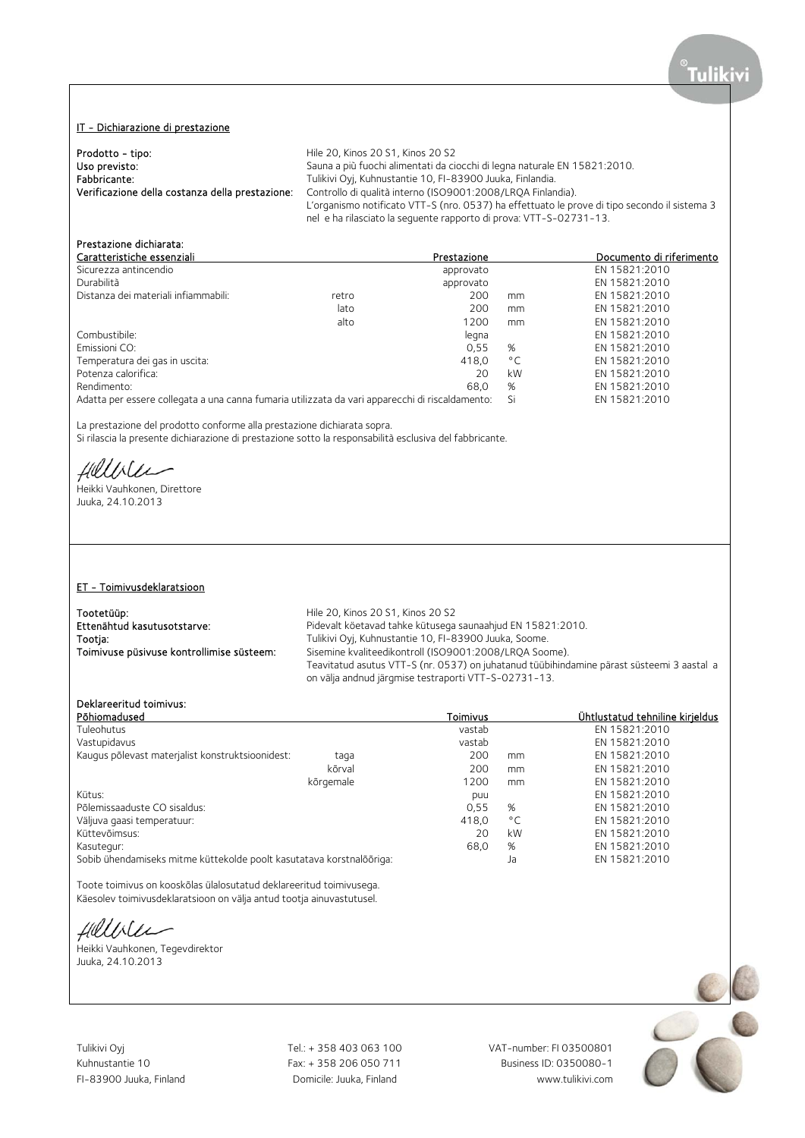# IT - Dichiarazione di prestazione

| Prodotto - tipo:                                | Hile 20, Kinos 20 S1, Kinos 20 S2                                                            |
|-------------------------------------------------|----------------------------------------------------------------------------------------------|
| Uso previsto:                                   | Sauna a più fuochi alimentati da ciocchi di legna naturale EN 15821:2010.                    |
| Fabbricante:                                    | Tulikivi Oyj, Kuhnustantie 10, FI-83900 Juuka, Finlandia.                                    |
| Verificazione della costanza della prestazione: | Controllo di qualità interno (ISO9001:2008/LROA Finlandia).                                  |
|                                                 | L'organismo notificato VTT-S (nro. 0537) ha effettuato le prove di tipo secondo il sistema 3 |
|                                                 | nel e ha rilasciato la sequente rapporto di prova: VTT-S-02731-13.                           |

# Prestazione dichiarata:

| Caratteristiche essenziali                                                                      |       | Prestazione |              | Documento di riferimento |
|-------------------------------------------------------------------------------------------------|-------|-------------|--------------|--------------------------|
| Sicurezza antincendio                                                                           |       | approvato   |              | EN 15821:2010            |
| Durabilità                                                                                      |       | approvato   |              | EN 15821:2010            |
| Distanza dei materiali infiammabili:                                                            | retro | 200         | mm           | EN 15821:2010            |
|                                                                                                 | lato  | 200         | mm           | EN 15821:2010            |
|                                                                                                 | alto  | 1200        | mm           | EN 15821:2010            |
| Combustibile:                                                                                   |       | legna       |              | EN 15821:2010            |
| Emissioni CO:                                                                                   |       | 0.55        | %            | EN 15821:2010            |
| Temperatura dei gas in uscita:                                                                  |       | 418.0       | $^{\circ}$ C | EN 15821:2010            |
| Potenza calorifica:                                                                             |       | 20          | kW           | EN 15821:2010            |
| Rendimento:                                                                                     |       | 68.0        | %            | EN 15821:2010            |
| Adatta per essere collegata a una canna fumaria utilizzata da vari apparecchi di riscaldamento: |       |             | Si           | EN 15821:2010            |

La prestazione del prodotto conforme alla prestazione dichiarata sopra.

Si rilascia la presente dichiarazione di prestazione sotto la responsabilità esclusiva del fabbricante.

fillble

Heikki Vauhkonen, Direttore Juuka, 24.10.2013

# ET - Toimivusdeklaratsioon

Tootetüüp: Tootetüüp: Hile 20, Kinos 20 S1, Kinos 20 S2

Ettenähtud kasutusotstarve: Pidevalt köetavad tahke kütusega saunaahjud EN 15821:2010.<br>Tootja: Tulikivi Oyj, Kuhnustantie 10, FI-83900 Juuka, Soome. Tootja: Tulikivi Oyj, Kuhnustantie 10, FI-83900 Juuka, Soome.<br>Toimivuse püsivuse kontrollimise süsteem: Sisemine kvaliteedikontroll (ISO9001:2008/LRQA Soome. Sisemine kvaliteedikontroll (ISO9001:2008/LRQA Soome). Teavitatud asutus VTT-S (nr. 0537) on juhatanud tüübihindamine pärast süsteemi 3 aastal a on välja andnud järgmise testraporti VTT-S-02731-13.

# Deklareeritud toimivus:

| Põhiomadused                                                         | Toimivus |              | Ühtlustatud tehniline kirjeldus |
|----------------------------------------------------------------------|----------|--------------|---------------------------------|
| Tuleohutus                                                           | vastab   |              | EN 15821:2010                   |
| Vastupidavus                                                         | vastab   |              | EN 15821:2010                   |
| Kaugus põlevast materjalist konstruktsioonidest:<br>taga             | 200      | mm           | EN 15821:2010                   |
| kõrval                                                               | 200      | mm           | EN 15821:2010                   |
| kõrgemale                                                            | 1200     | mm           | EN 15821:2010                   |
| Kütus:                                                               | puu      |              | EN 15821:2010                   |
| Põlemissaaduste CO sisaldus:                                         | 0,55     | %            | EN 15821:2010                   |
| Väljuva gaasi temperatuur:                                           | 418,0    | $^{\circ}$ C | EN 15821:2010                   |
| Küttevõimsus:                                                        | 20       | kW           | EN 15821:2010                   |
| Kasutegur:                                                           | 68.0     | %            | EN 15821:2010                   |
| Sobib ühendamiseks mitme küttekolde poolt kasutatava korstnalõõriga: |          | Ja           | EN 15821:2010                   |
|                                                                      |          |              |                                 |

Toote toimivus on kooskõlas ülalosutatud deklareeritud toimivusega. Käesolev toimivusdeklaratsioon on välja antud tootja ainuvastutusel.

fillble

Heikki Vauhkonen, Tegevdirektor Juuka, 24.10.2013

Tulikivi Oyj Tel.: + 358 403 063 100 VAT-number: FI 03500801

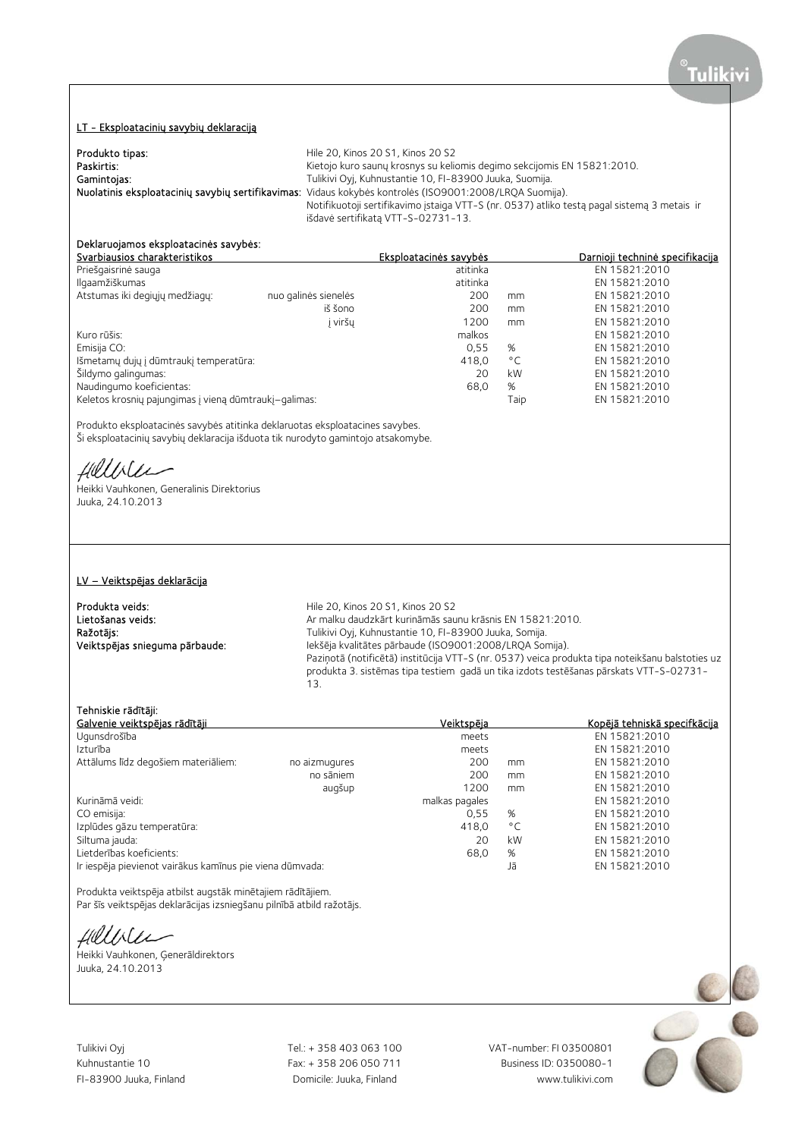# LT - Eksploatacinių savybių deklaraciją

| Produkto tipas: | Hile 20, Kinos 20 S1, Kinos 20 S2                                                                       |
|-----------------|---------------------------------------------------------------------------------------------------------|
| Paskirtis:      | Kietojo kuro saunų krosnys su keliomis degimo sekcijomis EN 15821:2010.                                 |
| Gamintojas:     | Tulikivi Oyj, Kuhnustantie 10, FI-83900 Juuka, Suomija.                                                 |
|                 | Nuolatinis eksploatacinių savybių sertifikavimas: Vidaus kokybės kontrolės (ISO9001:2008/LRQA Suomija). |
|                 | Notifikuotoji sertifikavimo įstaiga VTT-S (nr. 0537) atliko testą pagal sistemą 3 metais ir             |
|                 | išdavė sertifikatą VTT-S-02731-13.                                                                      |

# Deklaruojamos eksploatacinės savybės:

| Svarbiausios charakteristikos                         |                      | Eksploatacinės savybės |              | Darnioji techninė specifikacija |
|-------------------------------------------------------|----------------------|------------------------|--------------|---------------------------------|
| Priešgaisrinė sauga                                   |                      | atitinka               |              | EN 15821:2010                   |
| Ilgaamžiškumas                                        |                      | atitinka               |              | EN 15821:2010                   |
| Atstumas iki degiųjų medžiagų:                        | nuo galinės sienelės | 200                    | mm           | EN 15821:2010                   |
|                                                       | iš šono              | 200                    | mm           | EN 15821:2010                   |
|                                                       | j viršų              | 1200                   | mm           | EN 15821:2010                   |
| Kuro rūšis:                                           |                      | malkos                 |              | EN 15821:2010                   |
| Emisija CO:                                           |                      | 0.55                   | %            | EN 15821:2010                   |
| Išmetamų dujų į dūmtraukį temperatūra:                |                      | 418,0                  | $^{\circ}$ C | EN 15821:2010                   |
| Šildymo galingumas:                                   |                      | 20                     | kW           | EN 15821:2010                   |
| Naudingumo koeficientas:                              |                      | 68,0                   | %            | EN 15821:2010                   |
| Keletos krosnių pajungimas į vieną dūmtraukį–galimas: |                      |                        | Taip         | EN 15821:2010                   |
|                                                       |                      |                        |              |                                 |

Produkto eksploatacinės savybės atitinka deklaruotas eksploatacines savybes. Ši eksploatacinių savybių deklaracija išduota tik nurodyto gamintojo atsakomybe.

Hilliler

Heikki Vauhkonen, Generalinis Direktorius Juuka, 24.10.2013

#### LV – Veiktspējas deklarācija

Produkta veids: Hile 20, Kinos 20 S1, Kinos 20 S2

Lietošanas veids: Ar malku daudzkārt kurināmās saunu krāsnis EN 15821:2010. Ražotājs: Tulikivi Oyj, Kuhnustantie 10, FI-83900 Juuka, Somija. Veiktspējas snieguma pārbaude: Iekšēja kvalitātes pārbaude (ISO9001:2008/LRQA Somija). Paziņotā (notificētā) institūcija VTT-S (nr. 0537) veica produkta tipa noteikšanu balstoties uz produkta 3. sistēmas tipa testiem gadā un tika izdots testēšanas pārskats VTT-S-02731- 13.

#### Tehniskie rādītāji:<br>Galvenie veiktspējas rādītāji <u>Galvenie veiktspējas rādītāji atrodas savadā veiktspēja veiktspēja Kopējā tehniskā specifkācija veiktspēja Kopējā tehniskā specifkācija veiktspēja veiktspēja Kopējā tehniskā specifkācija veiktspēja veiktspēja veiktspēja v</u> Ugunsdrošība meets EN 15821:2010 Iztural meets EN 15821:2010<br>Izturība meets 200 mm EN 15821:2010 Attālums līdz degošiem materiāliem: no aizmugures 200 mm EN 15821:2010 no sāniem 200 mm EN 15821:2010 augšup 1200 mm EN 15821:2010 Kurināmā veidi: malkas pagales EN 15821:2010 CO emisija: 0,55 % EN 15821:2010 Izplūdes gāzu temperatūra: 418,0 °C EN 15821:2010 Siltuma jauda: 20 kW EN 15821:2010 Lietderības koeficients:<br>15821:2010 - 68,0 % EN 15821:2010 - 68,0 % EN 15821:2010 - 68,0 % EN 15821:2010 - 16<br>15821:2010 - 15821:2010 - 58 EN 15821:2010 Ir iespēja pievienot vairākus kamīnus pie viena dūmvada:

Produkta veiktspēja atbilst augstāk minētajiem rādītājiem. Par šīs veiktspējas deklarācijas izsniegšanu pilnībā atbild ražotājs.

Hillble

,<br>Heikki Vauhkonen, Generāldirektors Juuka, 24.10.2013

Tulikivi Oyj Tel.: + 358 403 063 100 VAT-number: FI 03500801

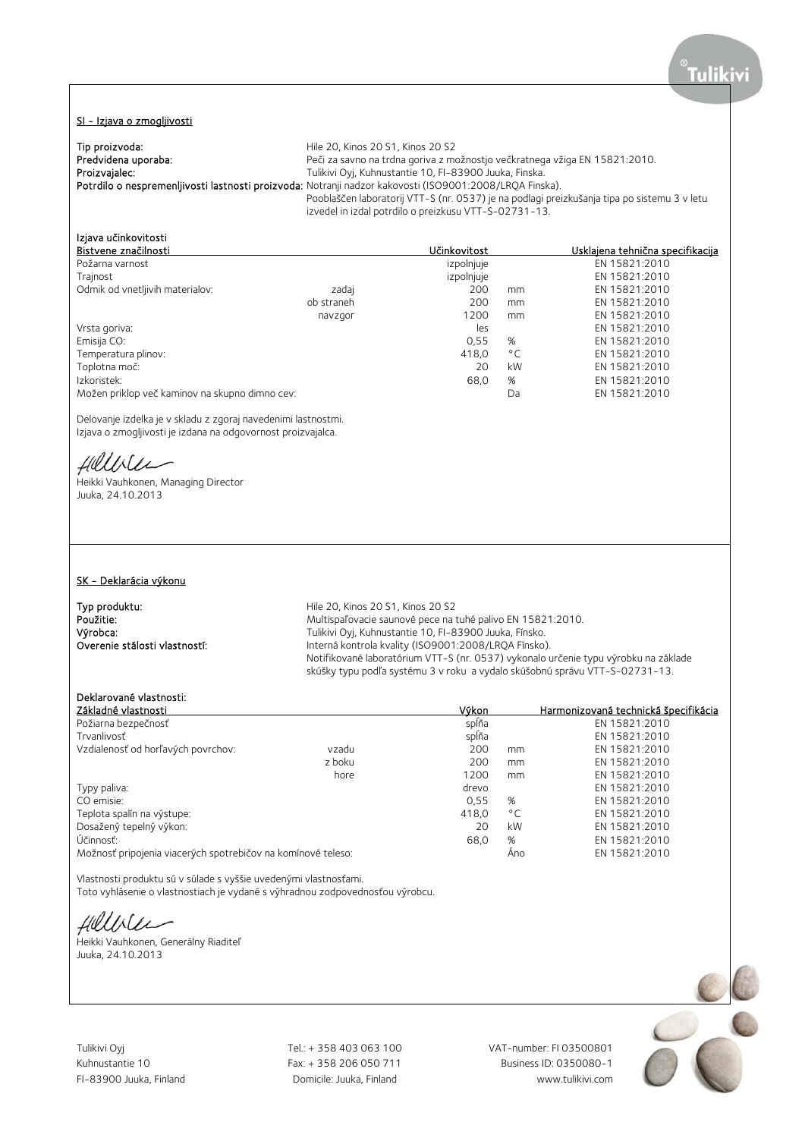#### SI - Izjava o zmogljivosti

Tip proizvoda: **Tip proizvoda:** Tip proizvoda:<br> **Predvidena uporaba:** The Same Recit za savno na trdna goriva z metal **Predvidena uporaba:** Predvidena uporaba: Peči za savno na trdna goriva z možnostjo večkratnega vžiga EN 15821:2010.<br>Proizvajalec: Proizvajalec: Predvidence Tulikivi Ovi, Kuhnustantie 10, FI-83900 Juuka, Finska. Tulikivi Oyj, Kuhnustantie 10, FI-83900 Juuka, Finska. Potrdilo o nespremenljivosti lastnosti proizvoda: Notranji nadzor kakovosti (ISO9001:2008/LRQA Finska). Pooblaščen laboratorij VTT-S (nr. 0537) je na podlagi preizkušanja tipa po sistemu 3 v letu izvedel in izdal potrdilo o preizkusu VTT-S-02731-13.

| Izjava učinkovitosti                           |            |              |              |                                  |
|------------------------------------------------|------------|--------------|--------------|----------------------------------|
| Bistvene značilnosti                           |            | Učinkovitost |              | Usklajena tehnična specifikacija |
| Požarna varnost                                |            | izpolnjuje   |              | EN 15821:2010                    |
| Trajnost                                       |            | izpolnjuje   |              | EN 15821:2010                    |
| Odmik od vnetljivih materialov:                | zadaj      | 200          | mm           | EN 15821:2010                    |
|                                                | ob straneh | 200          | mm           | EN 15821:2010                    |
|                                                | navzgor    | 1200         | mm           | EN 15821:2010                    |
| Vrsta goriva:                                  |            | les          |              | EN 15821:2010                    |
| Emisija CO:                                    |            | 0.55         | %            | EN 15821:2010                    |
| Temperatura plinov:                            |            | 418.0        | $^{\circ}$ C | EN 15821:2010                    |
| Toplotna moč:                                  |            | 20           | kW           | EN 15821:2010                    |
| Izkoristek:                                    |            | 68,0         | %            | EN 15821:2010                    |
| Možen priklop več kaminov na skupno dimno cev: |            |              | Da           | EN 15821:2010                    |

Delovanje izdelka je v skladu z zgoraj navedenimi lastnostmi. Izjava o zmogljivosti je izdana na odgovornost proizvajalca.

Hillble

Heikki Vauhkonen, Managing Director Juuka, 24.10.2013

## SK - Deklarácia výkonu

**Typ produktu:** Type produktu:<br> **Použitie:** The according to the Multispalovacie saunové pece na intervention of Multispalovacie saunové pece na Použitie: Multispaľovacie saunové pece na tuhé palivo EN 15821:2010.<br>
Výrobca: výrobca: výrobca: Tulikivi Oyi, Kuhnustantie 10, Fl-83900 Juuka, Fínsko. Výrobca:<br>
Výrobca: Tulikivi Oyj, Kuhnustantie 10, FI-83900 Juuka, Fínsko.<br>
Interná kontrola kvality (ISO9001:2008/LROA Fínsko) Interná kontrola kvality (ISO9001:2008/LRQA Fínsko). Notifikované laboratórium VTT-S (nr. 0537) vykonalo určenie typu výrobku na základe skúšky typu podľa systému 3 v roku a vydalo skúšobnú správu VTT-S-02731-13.

# Deklarované vlastnosti:

| Základné vlastnosti                                          |        | Výkon |              | Harmonizovaná technická špecifikácia |
|--------------------------------------------------------------|--------|-------|--------------|--------------------------------------|
| Požiarna bezpečnosť                                          |        | spĺňa |              | EN 15821:2010                        |
| Trvanlivosť                                                  |        | spĺňa |              | EN 15821:2010                        |
| Vzdialenosť od horľavých povrchov:                           | vzadu  | 200   | mm           | EN 15821:2010                        |
|                                                              | z boku | 200   | mm           | EN 15821:2010                        |
|                                                              | hore   | 1200  | mm           | EN 15821:2010                        |
| Typy paliva:                                                 |        | drevo |              | EN 15821:2010                        |
| CO emisie:                                                   |        | 0.55  | %            | EN 15821:2010                        |
| Teplota spalín na výstupe:                                   |        | 418.0 | $^{\circ}$ C | EN 15821:2010                        |
| Dosažený tepelný výkon:                                      |        | 20    | kW           | EN 15821:2010                        |
| Účinnosť:                                                    |        | 68,0  | %            | EN 15821:2010                        |
| Možnosť pripojenia viacerých spotrebičov na komínové teleso: |        |       | Ano          | EN 15821:2010                        |

Vlastnosti produktu sú v súlade s vyššie uvedenými vlastnosťami.

Toto vyhlásenie o vlastnostiach je vydané s výhradnou zodpovednosťou výrobcu.

Hilliler

Heikki Vauhkonen, Generálny Riaditeľ Juuka, 24.10.2013

Tulikivi Oyj Tel.: + 358 403 063 100 VAT-number: FI 03500801